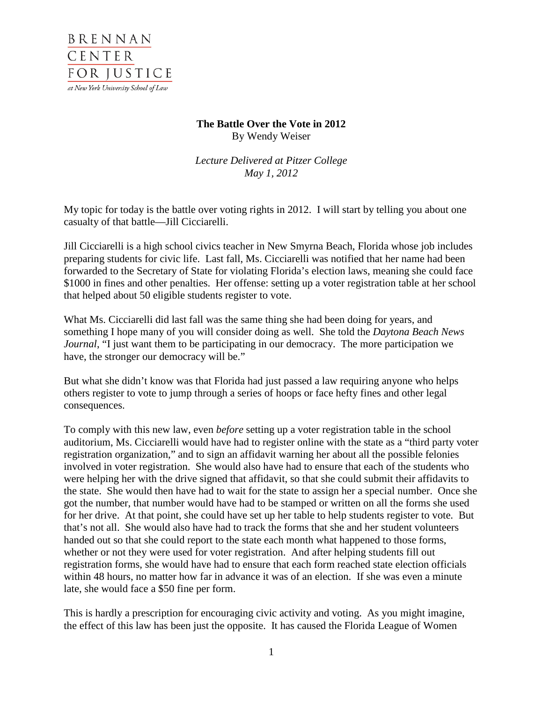

## **The Battle Over the Vote in 2012** By Wendy Weiser

*Lecture Delivered at Pitzer College May 1, 2012*

My topic for today is the battle over voting rights in 2012. I will start by telling you about one casualty of that battle—Jill Cicciarelli.

Jill Cicciarelli is a high school civics teacher in New Smyrna Beach, Florida whose job includes preparing students for civic life. Last fall, Ms. Cicciarelli was notified that her name had been forwarded to the Secretary of State for violating Florida's election laws, meaning she could face \$1000 in fines and other penalties. Her offense: setting up a voter registration table at her school that helped about 50 eligible students register to vote.

What Ms. Cicciarelli did last fall was the same thing she had been doing for years, and something I hope many of you will consider doing as well. She told the *Daytona Beach News Journal*, "I just want them to be participating in our democracy. The more participation we have, the stronger our democracy will be."

But what she didn't know was that Florida had just passed a law requiring anyone who helps others register to vote to jump through a series of hoops or face hefty fines and other legal consequences.

To comply with this new law, even *before* setting up a voter registration table in the school auditorium, Ms. Cicciarelli would have had to register online with the state as a "third party voter registration organization," and to sign an affidavit warning her about all the possible felonies involved in voter registration. She would also have had to ensure that each of the students who were helping her with the drive signed that affidavit, so that she could submit their affidavits to the state. She would then have had to wait for the state to assign her a special number. Once she got the number, that number would have had to be stamped or written on all the forms she used for her drive. At that point, she could have set up her table to help students register to vote. But that's not all. She would also have had to track the forms that she and her student volunteers handed out so that she could report to the state each month what happened to those forms, whether or not they were used for voter registration. And after helping students fill out registration forms, she would have had to ensure that each form reached state election officials within 48 hours, no matter how far in advance it was of an election. If she was even a minute late, she would face a \$50 fine per form.

This is hardly a prescription for encouraging civic activity and voting. As you might imagine, the effect of this law has been just the opposite. It has caused the Florida League of Women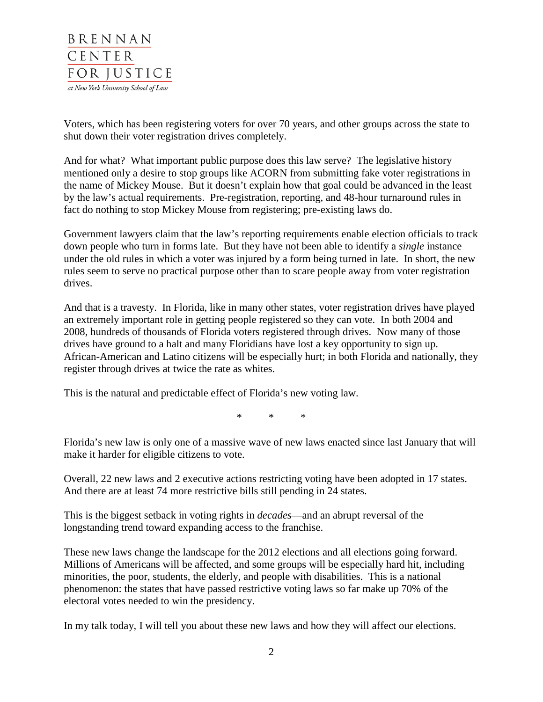

Voters, which has been registering voters for over 70 years, and other groups across the state to shut down their voter registration drives completely.

And for what? What important public purpose does this law serve? The legislative history mentioned only a desire to stop groups like ACORN from submitting fake voter registrations in the name of Mickey Mouse. But it doesn't explain how that goal could be advanced in the least by the law's actual requirements. Pre-registration, reporting, and 48-hour turnaround rules in fact do nothing to stop Mickey Mouse from registering; pre-existing laws do.

Government lawyers claim that the law's reporting requirements enable election officials to track down people who turn in forms late. But they have not been able to identify a *single* instance under the old rules in which a voter was injured by a form being turned in late. In short, the new rules seem to serve no practical purpose other than to scare people away from voter registration drives.

And that is a travesty. In Florida, like in many other states, voter registration drives have played an extremely important role in getting people registered so they can vote. In both 2004 and 2008, hundreds of thousands of Florida voters registered through drives. Now many of those drives have ground to a halt and many Floridians have lost a key opportunity to sign up. African-American and Latino citizens will be especially hurt; in both Florida and nationally, they register through drives at twice the rate as whites.

This is the natural and predictable effect of Florida's new voting law.

\* \* \*

Florida's new law is only one of a massive wave of new laws enacted since last January that will make it harder for eligible citizens to vote.

Overall, 22 new laws and 2 executive actions restricting voting have been adopted in 17 states. And there are at least 74 more restrictive bills still pending in 24 states.

This is the biggest setback in voting rights in *decades*—and an abrupt reversal of the longstanding trend toward expanding access to the franchise.

These new laws change the landscape for the 2012 elections and all elections going forward. Millions of Americans will be affected, and some groups will be especially hard hit, including minorities, the poor, students, the elderly, and people with disabilities. This is a national phenomenon: the states that have passed restrictive voting laws so far make up 70% of the electoral votes needed to win the presidency.

In my talk today, I will tell you about these new laws and how they will affect our elections.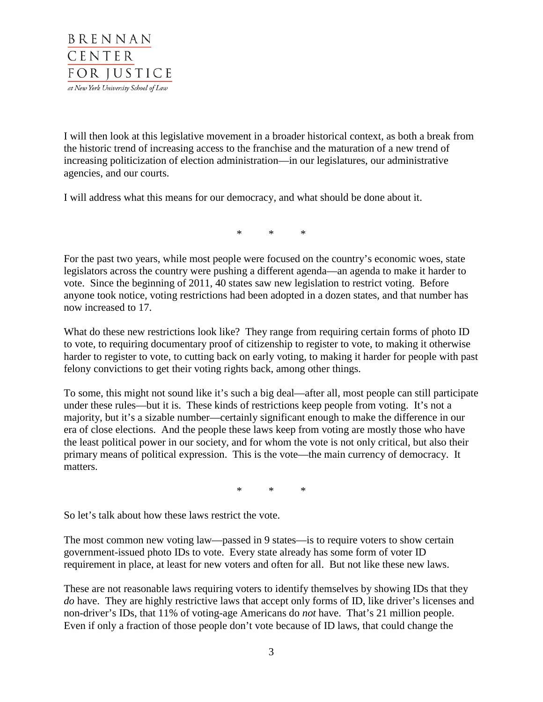

I will then look at this legislative movement in a broader historical context, as both a break from the historic trend of increasing access to the franchise and the maturation of a new trend of increasing politicization of election administration—in our legislatures, our administrative agencies, and our courts.

I will address what this means for our democracy, and what should be done about it.

\* \* \*

For the past two years, while most people were focused on the country's economic woes, state legislators across the country were pushing a different agenda—an agenda to make it harder to vote. Since the beginning of 2011, 40 states saw new legislation to restrict voting. Before anyone took notice, voting restrictions had been adopted in a dozen states, and that number has now increased to 17.

What do these new restrictions look like? They range from requiring certain forms of photo ID to vote, to requiring documentary proof of citizenship to register to vote, to making it otherwise harder to register to vote, to cutting back on early voting, to making it harder for people with past felony convictions to get their voting rights back, among other things.

To some, this might not sound like it's such a big deal—after all, most people can still participate under these rules—but it is. These kinds of restrictions keep people from voting. It's not a majority, but it's a sizable number—certainly significant enough to make the difference in our era of close elections. And the people these laws keep from voting are mostly those who have the least political power in our society, and for whom the vote is not only critical, but also their primary means of political expression. This is the vote—the main currency of democracy. It matters.

\* \* \*

So let's talk about how these laws restrict the vote.

The most common new voting law—passed in 9 states—is to require voters to show certain government-issued photo IDs to vote. Every state already has some form of voter ID requirement in place, at least for new voters and often for all. But not like these new laws.

These are not reasonable laws requiring voters to identify themselves by showing IDs that they *do* have. They are highly restrictive laws that accept only forms of ID, like driver's licenses and non-driver's IDs, that 11% of voting-age Americans do *not* have. That's 21 million people. Even if only a fraction of those people don't vote because of ID laws, that could change the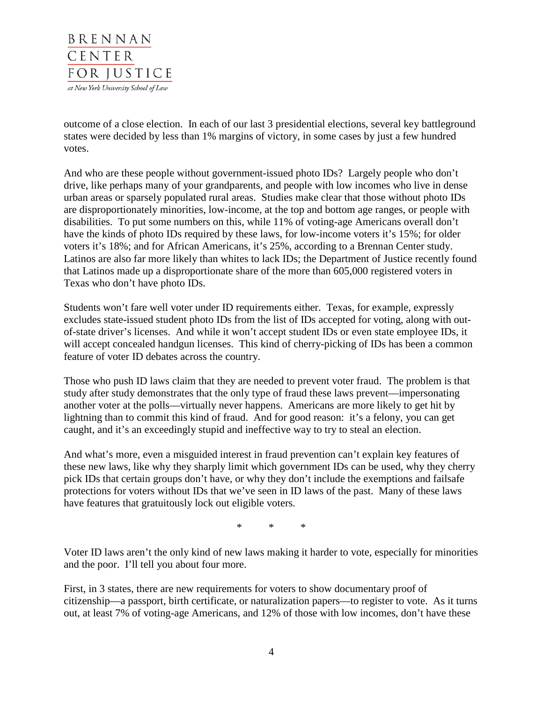

outcome of a close election. In each of our last 3 presidential elections, several key battleground states were decided by less than 1% margins of victory, in some cases by just a few hundred votes.

And who are these people without government-issued photo IDs? Largely people who don't drive, like perhaps many of your grandparents, and people with low incomes who live in dense urban areas or sparsely populated rural areas. Studies make clear that those without photo IDs are disproportionately minorities, low-income, at the top and bottom age ranges, or people with disabilities. To put some numbers on this, while 11% of voting-age Americans overall don't have the kinds of photo IDs required by these laws, for low-income voters it's 15%; for older voters it's 18%; and for African Americans, it's 25%, according to a Brennan Center study. Latinos are also far more likely than whites to lack IDs; the Department of Justice recently found that Latinos made up a disproportionate share of the more than 605,000 registered voters in Texas who don't have photo IDs.

Students won't fare well voter under ID requirements either. Texas, for example, expressly excludes state-issued student photo IDs from the list of IDs accepted for voting, along with outof-state driver's licenses. And while it won't accept student IDs or even state employee IDs, it will accept concealed handgun licenses. This kind of cherry-picking of IDs has been a common feature of voter ID debates across the country.

Those who push ID laws claim that they are needed to prevent voter fraud. The problem is that study after study demonstrates that the only type of fraud these laws prevent—impersonating another voter at the polls—virtually never happens. Americans are more likely to get hit by lightning than to commit this kind of fraud. And for good reason: it's a felony, you can get caught, and it's an exceedingly stupid and ineffective way to try to steal an election.

And what's more, even a misguided interest in fraud prevention can't explain key features of these new laws, like why they sharply limit which government IDs can be used, why they cherry pick IDs that certain groups don't have, or why they don't include the exemptions and failsafe protections for voters without IDs that we've seen in ID laws of the past. Many of these laws have features that gratuitously lock out eligible voters.

\* \* \*

Voter ID laws aren't the only kind of new laws making it harder to vote, especially for minorities and the poor. I'll tell you about four more.

First, in 3 states, there are new requirements for voters to show documentary proof of citizenship—a passport, birth certificate, or naturalization papers—to register to vote. As it turns out, at least 7% of voting-age Americans, and 12% of those with low incomes, don't have these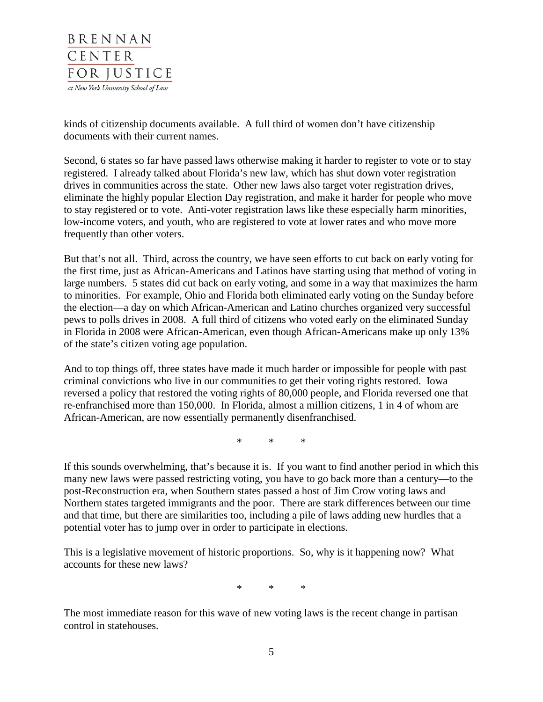

kinds of citizenship documents available. A full third of women don't have citizenship documents with their current names.

Second, 6 states so far have passed laws otherwise making it harder to register to vote or to stay registered. I already talked about Florida's new law, which has shut down voter registration drives in communities across the state. Other new laws also target voter registration drives, eliminate the highly popular Election Day registration, and make it harder for people who move to stay registered or to vote. Anti-voter registration laws like these especially harm minorities, low-income voters, and youth, who are registered to vote at lower rates and who move more frequently than other voters.

But that's not all. Third, across the country, we have seen efforts to cut back on early voting for the first time, just as African-Americans and Latinos have starting using that method of voting in large numbers. 5 states did cut back on early voting, and some in a way that maximizes the harm to minorities. For example, Ohio and Florida both eliminated early voting on the Sunday before the election—a day on which African-American and Latino churches organized very successful pews to polls drives in 2008. A full third of citizens who voted early on the eliminated Sunday in Florida in 2008 were African-American, even though African-Americans make up only 13% of the state's citizen voting age population.

And to top things off, three states have made it much harder or impossible for people with past criminal convictions who live in our communities to get their voting rights restored. Iowa reversed a policy that restored the voting rights of 80,000 people, and Florida reversed one that re-enfranchised more than 150,000. In Florida, almost a million citizens, 1 in 4 of whom are African-American, are now essentially permanently disenfranchised.

\* \* \*

If this sounds overwhelming, that's because it is. If you want to find another period in which this many new laws were passed restricting voting, you have to go back more than a century—to the post-Reconstruction era, when Southern states passed a host of Jim Crow voting laws and Northern states targeted immigrants and the poor. There are stark differences between our time and that time, but there are similarities too, including a pile of laws adding new hurdles that a potential voter has to jump over in order to participate in elections.

This is a legislative movement of historic proportions. So, why is it happening now? What accounts for these new laws?

\* \* \*

The most immediate reason for this wave of new voting laws is the recent change in partisan control in statehouses.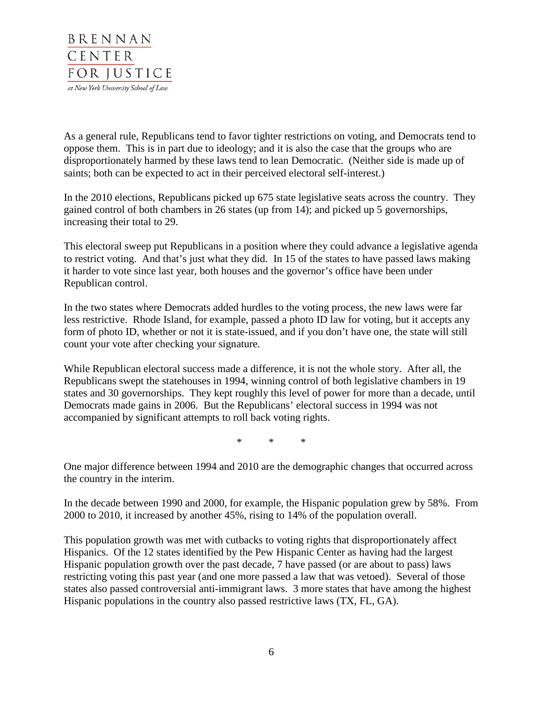

As a general rule, Republicans tend to favor tighter restrictions on voting, and Democrats tend to oppose them. This is in part due to ideology; and it is also the case that the groups who are disproportionately harmed by these laws tend to lean Democratic. (Neither side is made up of saints; both can be expected to act in their perceived electoral self-interest.)

In the 2010 elections, Republicans picked up 675 state legislative seats across the country. They gained control of both chambers in 26 states (up from 14); and picked up 5 governorships, increasing their total to 29.

This electoral sweep put Republicans in a position where they could advance a legislative agenda to restrict voting. And that's just what they did. In 15 of the states to have passed laws making it harder to vote since last year, both houses and the governor's office have been under Republican control.

In the two states where Democrats added hurdles to the voting process, the new laws were far less restrictive. Rhode Island, for example, passed a photo ID law for voting, but it accepts any form of photo ID, whether or not it is state-issued, and if you don't have one, the state will still count your vote after checking your signature.

While Republican electoral success made a difference, it is not the whole story. After all, the Republicans swept the statehouses in 1994, winning control of both legislative chambers in 19 states and 30 governorships. They kept roughly this level of power for more than a decade, until Democrats made gains in 2006. But the Republicans' electoral success in 1994 was not accompanied by significant attempts to roll back voting rights.

\* \* \*

One major difference between 1994 and 2010 are the demographic changes that occurred across the country in the interim.

In the decade between 1990 and 2000, for example, the Hispanic population grew by 58%. From 2000 to 2010, it increased by another 45%, rising to 14% of the population overall.

This population growth was met with cutbacks to voting rights that disproportionately affect Hispanics. Of the 12 states identified by the Pew Hispanic Center as having had the largest Hispanic population growth over the past decade, 7 have passed (or are about to pass) laws restricting voting this past year (and one more passed a law that was vetoed). Several of those states also passed controversial anti-immigrant laws. 3 more states that have among the highest Hispanic populations in the country also passed restrictive laws (TX, FL, GA).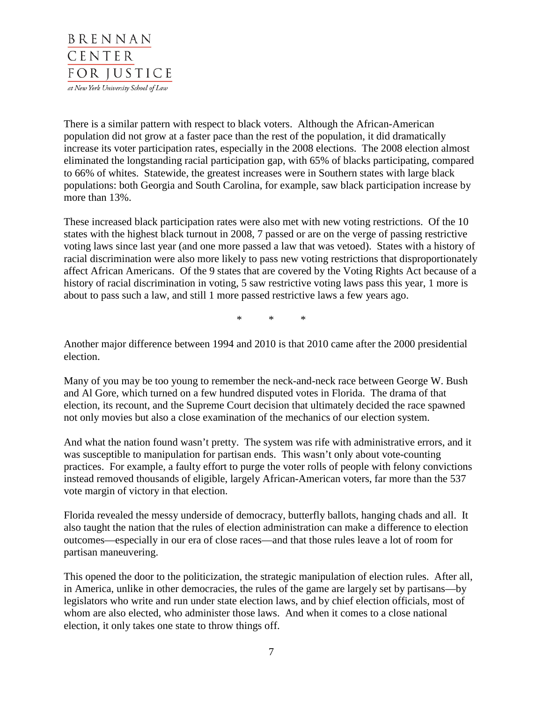

There is a similar pattern with respect to black voters. Although the African-American population did not grow at a faster pace than the rest of the population, it did dramatically increase its voter participation rates, especially in the 2008 elections. The 2008 election almost eliminated the longstanding racial participation gap, with 65% of blacks participating, compared to 66% of whites. Statewide, the greatest increases were in Southern states with large black populations: both Georgia and South Carolina, for example, saw black participation increase by more than 13%.

These increased black participation rates were also met with new voting restrictions. Of the 10 states with the highest black turnout in 2008, 7 passed or are on the verge of passing restrictive voting laws since last year (and one more passed a law that was vetoed). States with a history of racial discrimination were also more likely to pass new voting restrictions that disproportionately affect African Americans. Of the 9 states that are covered by the Voting Rights Act because of a history of racial discrimination in voting, 5 saw restrictive voting laws pass this year, 1 more is about to pass such a law, and still 1 more passed restrictive laws a few years ago.

\* \* \*

Another major difference between 1994 and 2010 is that 2010 came after the 2000 presidential election.

Many of you may be too young to remember the neck-and-neck race between George W. Bush and Al Gore, which turned on a few hundred disputed votes in Florida. The drama of that election, its recount, and the Supreme Court decision that ultimately decided the race spawned not only movies but also a close examination of the mechanics of our election system.

And what the nation found wasn't pretty. The system was rife with administrative errors, and it was susceptible to manipulation for partisan ends. This wasn't only about vote-counting practices. For example, a faulty effort to purge the voter rolls of people with felony convictions instead removed thousands of eligible, largely African-American voters, far more than the 537 vote margin of victory in that election.

Florida revealed the messy underside of democracy, butterfly ballots, hanging chads and all. It also taught the nation that the rules of election administration can make a difference to election outcomes—especially in our era of close races—and that those rules leave a lot of room for partisan maneuvering.

This opened the door to the politicization, the strategic manipulation of election rules. After all, in America, unlike in other democracies, the rules of the game are largely set by partisans—by legislators who write and run under state election laws, and by chief election officials, most of whom are also elected, who administer those laws. And when it comes to a close national election, it only takes one state to throw things off.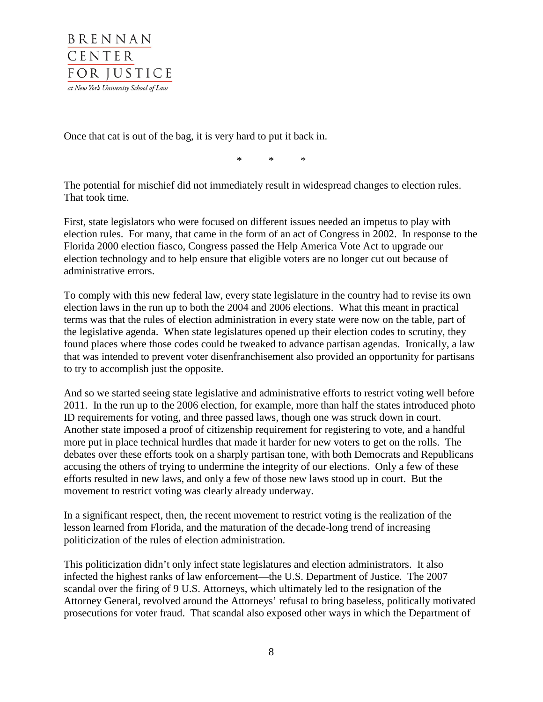

Once that cat is out of the bag, it is very hard to put it back in.

\* \* \*

The potential for mischief did not immediately result in widespread changes to election rules. That took time.

First, state legislators who were focused on different issues needed an impetus to play with election rules. For many, that came in the form of an act of Congress in 2002. In response to the Florida 2000 election fiasco, Congress passed the Help America Vote Act to upgrade our election technology and to help ensure that eligible voters are no longer cut out because of administrative errors.

To comply with this new federal law, every state legislature in the country had to revise its own election laws in the run up to both the 2004 and 2006 elections. What this meant in practical terms was that the rules of election administration in every state were now on the table, part of the legislative agenda. When state legislatures opened up their election codes to scrutiny, they found places where those codes could be tweaked to advance partisan agendas. Ironically, a law that was intended to prevent voter disenfranchisement also provided an opportunity for partisans to try to accomplish just the opposite.

And so we started seeing state legislative and administrative efforts to restrict voting well before 2011. In the run up to the 2006 election, for example, more than half the states introduced photo ID requirements for voting, and three passed laws, though one was struck down in court. Another state imposed a proof of citizenship requirement for registering to vote, and a handful more put in place technical hurdles that made it harder for new voters to get on the rolls. The debates over these efforts took on a sharply partisan tone, with both Democrats and Republicans accusing the others of trying to undermine the integrity of our elections. Only a few of these efforts resulted in new laws, and only a few of those new laws stood up in court. But the movement to restrict voting was clearly already underway.

In a significant respect, then, the recent movement to restrict voting is the realization of the lesson learned from Florida, and the maturation of the decade-long trend of increasing politicization of the rules of election administration.

This politicization didn't only infect state legislatures and election administrators. It also infected the highest ranks of law enforcement—the U.S. Department of Justice. The 2007 scandal over the firing of 9 U.S. Attorneys, which ultimately led to the resignation of the Attorney General, revolved around the Attorneys' refusal to bring baseless, politically motivated prosecutions for voter fraud. That scandal also exposed other ways in which the Department of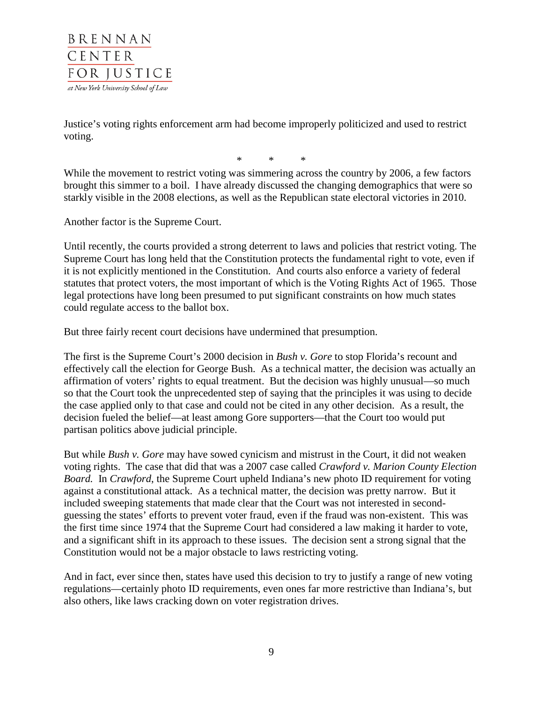

Justice's voting rights enforcement arm had become improperly politicized and used to restrict voting.

\* \* \*

While the movement to restrict voting was simmering across the country by 2006, a few factors brought this simmer to a boil. I have already discussed the changing demographics that were so starkly visible in the 2008 elections, as well as the Republican state electoral victories in 2010.

Another factor is the Supreme Court.

Until recently, the courts provided a strong deterrent to laws and policies that restrict voting. The Supreme Court has long held that the Constitution protects the fundamental right to vote, even if it is not explicitly mentioned in the Constitution. And courts also enforce a variety of federal statutes that protect voters, the most important of which is the Voting Rights Act of 1965. Those legal protections have long been presumed to put significant constraints on how much states could regulate access to the ballot box.

But three fairly recent court decisions have undermined that presumption.

The first is the Supreme Court's 2000 decision in *Bush v. Gore* to stop Florida's recount and effectively call the election for George Bush. As a technical matter, the decision was actually an affirmation of voters' rights to equal treatment. But the decision was highly unusual—so much so that the Court took the unprecedented step of saying that the principles it was using to decide the case applied only to that case and could not be cited in any other decision. As a result, the decision fueled the belief—at least among Gore supporters—that the Court too would put partisan politics above judicial principle.

But while *Bush v. Gore* may have sowed cynicism and mistrust in the Court, it did not weaken voting rights. The case that did that was a 2007 case called *Crawford v. Marion County Election Board.* In *Crawford*, the Supreme Court upheld Indiana's new photo ID requirement for voting against a constitutional attack. As a technical matter, the decision was pretty narrow. But it included sweeping statements that made clear that the Court was not interested in secondguessing the states' efforts to prevent voter fraud, even if the fraud was non-existent. This was the first time since 1974 that the Supreme Court had considered a law making it harder to vote, and a significant shift in its approach to these issues. The decision sent a strong signal that the Constitution would not be a major obstacle to laws restricting voting.

And in fact, ever since then, states have used this decision to try to justify a range of new voting regulations—certainly photo ID requirements, even ones far more restrictive than Indiana's, but also others, like laws cracking down on voter registration drives.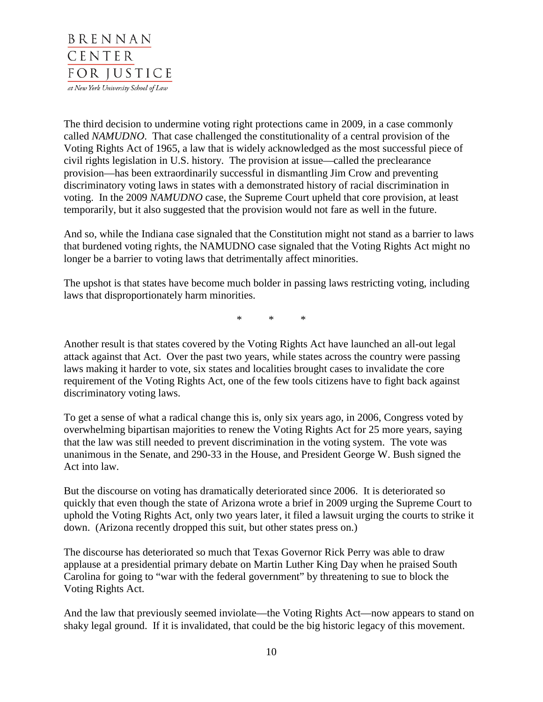

The third decision to undermine voting right protections came in 2009, in a case commonly called *NAMUDNO*. That case challenged the constitutionality of a central provision of the Voting Rights Act of 1965, a law that is widely acknowledged as the most successful piece of civil rights legislation in U.S. history. The provision at issue—called the preclearance provision—has been extraordinarily successful in dismantling Jim Crow and preventing discriminatory voting laws in states with a demonstrated history of racial discrimination in voting. In the 2009 *NAMUDNO* case, the Supreme Court upheld that core provision, at least temporarily, but it also suggested that the provision would not fare as well in the future.

And so, while the Indiana case signaled that the Constitution might not stand as a barrier to laws that burdened voting rights, the NAMUDNO case signaled that the Voting Rights Act might no longer be a barrier to voting laws that detrimentally affect minorities.

The upshot is that states have become much bolder in passing laws restricting voting, including laws that disproportionately harm minorities.

\* \* \*

Another result is that states covered by the Voting Rights Act have launched an all-out legal attack against that Act. Over the past two years, while states across the country were passing laws making it harder to vote, six states and localities brought cases to invalidate the core requirement of the Voting Rights Act, one of the few tools citizens have to fight back against discriminatory voting laws.

To get a sense of what a radical change this is, only six years ago, in 2006, Congress voted by overwhelming bipartisan majorities to renew the Voting Rights Act for 25 more years, saying that the law was still needed to prevent discrimination in the voting system. The vote was unanimous in the Senate, and 290-33 in the House, and President George W. Bush signed the Act into law.

But the discourse on voting has dramatically deteriorated since 2006. It is deteriorated so quickly that even though the state of Arizona wrote a brief in 2009 urging the Supreme Court to uphold the Voting Rights Act, only two years later, it filed a lawsuit urging the courts to strike it down. (Arizona recently dropped this suit, but other states press on.)

The discourse has deteriorated so much that Texas Governor Rick Perry was able to draw applause at a presidential primary debate on Martin Luther King Day when he praised South Carolina for going to "war with the federal government" by threatening to sue to block the Voting Rights Act.

And the law that previously seemed inviolate—the Voting Rights Act—now appears to stand on shaky legal ground. If it is invalidated, that could be the big historic legacy of this movement.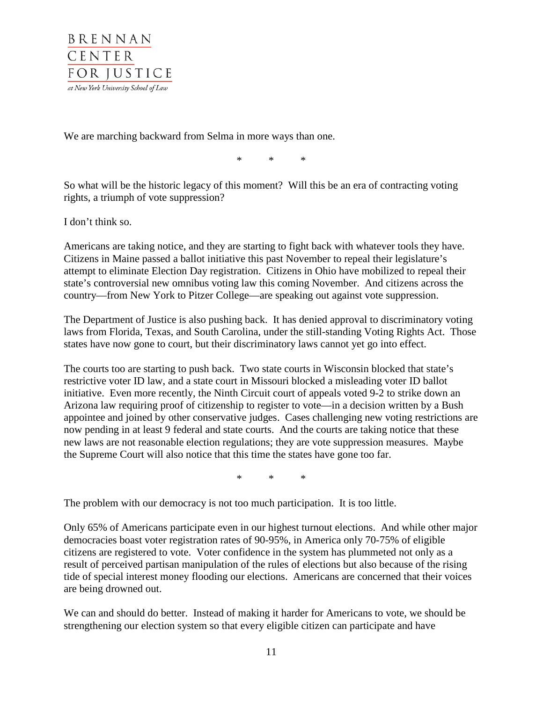

We are marching backward from Selma in more ways than one.

\* \* \*

So what will be the historic legacy of this moment? Will this be an era of contracting voting rights, a triumph of vote suppression?

I don't think so.

Americans are taking notice, and they are starting to fight back with whatever tools they have. Citizens in Maine passed a ballot initiative this past November to repeal their legislature's attempt to eliminate Election Day registration. Citizens in Ohio have mobilized to repeal their state's controversial new omnibus voting law this coming November. And citizens across the country—from New York to Pitzer College—are speaking out against vote suppression.

The Department of Justice is also pushing back. It has denied approval to discriminatory voting laws from Florida, Texas, and South Carolina, under the still-standing Voting Rights Act. Those states have now gone to court, but their discriminatory laws cannot yet go into effect.

The courts too are starting to push back. Two state courts in Wisconsin blocked that state's restrictive voter ID law, and a state court in Missouri blocked a misleading voter ID ballot initiative. Even more recently, the Ninth Circuit court of appeals voted 9-2 to strike down an Arizona law requiring proof of citizenship to register to vote—in a decision written by a Bush appointee and joined by other conservative judges. Cases challenging new voting restrictions are now pending in at least 9 federal and state courts. And the courts are taking notice that these new laws are not reasonable election regulations; they are vote suppression measures. Maybe the Supreme Court will also notice that this time the states have gone too far.

 $*$  \* \*

The problem with our democracy is not too much participation. It is too little.

Only 65% of Americans participate even in our highest turnout elections. And while other major democracies boast voter registration rates of 90-95%, in America only 70-75% of eligible citizens are registered to vote. Voter confidence in the system has plummeted not only as a result of perceived partisan manipulation of the rules of elections but also because of the rising tide of special interest money flooding our elections. Americans are concerned that their voices are being drowned out.

We can and should do better. Instead of making it harder for Americans to vote, we should be strengthening our election system so that every eligible citizen can participate and have